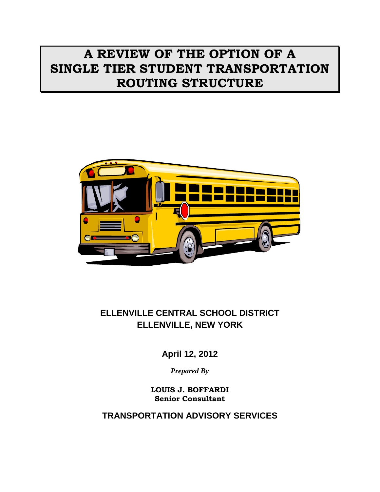# **A REVIEW OF THE OPTION OF A SINGLE TIER STUDENT TRANSPORTATION ROUTING STRUCTURE**



# **ELLENVILLE CENTRAL SCHOOL DISTRICT ELLENVILLE, NEW YORK**

**April 12, 2012**

*Prepared By*

**LOUIS J. BOFFARDI Senior Consultant**

**TRANSPORTATION ADVISORY SERVICES**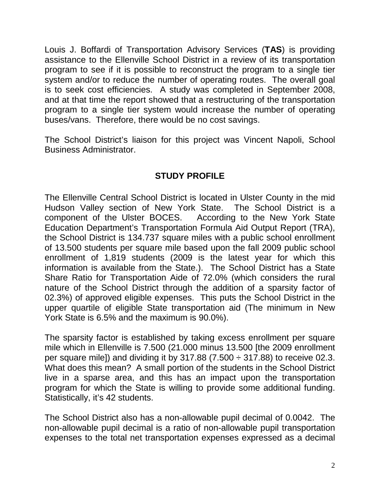Louis J. Boffardi of Transportation Advisory Services (**TAS**) is providing assistance to the Ellenville School District in a review of its transportation program to see if it is possible to reconstruct the program to a single tier system and/or to reduce the number of operating routes. The overall goal is to seek cost efficiencies. A study was completed in September 2008, and at that time the report showed that a restructuring of the transportation program to a single tier system would increase the number of operating buses/vans. Therefore, there would be no cost savings.

The School District's liaison for this project was Vincent Napoli, School Business Administrator.

## **STUDY PROFILE**

The Ellenville Central School District is located in Ulster County in the mid Hudson Valley section of New York State. The School District is a component of the Ulster BOCES. According to the New York State Education Department's Transportation Formula Aid Output Report (TRA), the School District is 134.737 square miles with a public school enrollment of 13.500 students per square mile based upon the fall 2009 public school enrollment of 1,819 students (2009 is the latest year for which this information is available from the State.). The School District has a State Share Ratio for Transportation Aide of 72.0% (which considers the rural nature of the School District through the addition of a sparsity factor of 02.3%) of approved eligible expenses. This puts the School District in the upper quartile of eligible State transportation aid (The minimum in New York State is 6.5% and the maximum is 90.0%).

The sparsity factor is established by taking excess enrollment per square mile which in Ellenville is 7.500 (21.000 minus 13.500 [the 2009 enrollment per square mile]) and dividing it by 317.88 (7.500  $\div$  317.88) to receive 02.3. What does this mean? A small portion of the students in the School District live in a sparse area, and this has an impact upon the transportation program for which the State is willing to provide some additional funding. Statistically, it's 42 students.

The School District also has a non-allowable pupil decimal of 0.0042. The non-allowable pupil decimal is a ratio of non-allowable pupil transportation expenses to the total net transportation expenses expressed as a decimal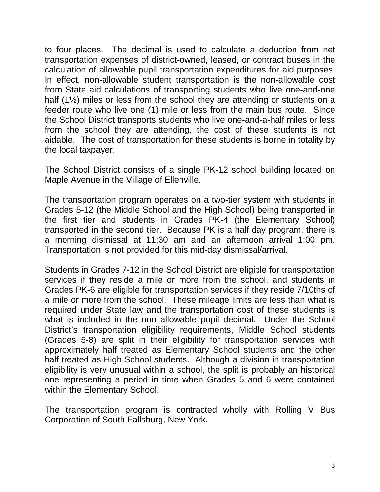to four places. The decimal is used to calculate a deduction from net transportation expenses of district-owned, leased, or contract buses in the calculation of allowable pupil transportation expenditures for aid purposes. In effect, non-allowable student transportation is the non-allowable cost from State aid calculations of transporting students who live one-and-one half (1<sup>1/2</sup>) miles or less from the school they are attending or students on a feeder route who live one (1) mile or less from the main bus route. Since the School District transports students who live one-and-a-half miles or less from the school they are attending, the cost of these students is not aidable. The cost of transportation for these students is borne in totality by the local taxpayer.

The School District consists of a single PK-12 school building located on Maple Avenue in the Village of Ellenville.

The transportation program operates on a two-tier system with students in Grades 5-12 (the Middle School and the High School) being transported in the first tier and students in Grades PK-4 (the Elementary School) transported in the second tier. Because PK is a half day program, there is a morning dismissal at 11:30 am and an afternoon arrival 1:00 pm. Transportation is not provided for this mid-day dismissal/arrival.

Students in Grades 7-12 in the School District are eligible for transportation services if they reside a mile or more from the school, and students in Grades PK-6 are eligible for transportation services if they reside 7/10ths of a mile or more from the school. These mileage limits are less than what is required under State law and the transportation cost of these students is what is included in the non allowable pupil decimal. Under the School District's transportation eligibility requirements, Middle School students (Grades 5-8) are split in their eligibility for transportation services with approximately half treated as Elementary School students and the other half treated as High School students. Although a division in transportation eligibility is very unusual within a school, the split is probably an historical one representing a period in time when Grades 5 and 6 were contained within the Elementary School.

The transportation program is contracted wholly with Rolling V Bus Corporation of South Fallsburg, New York.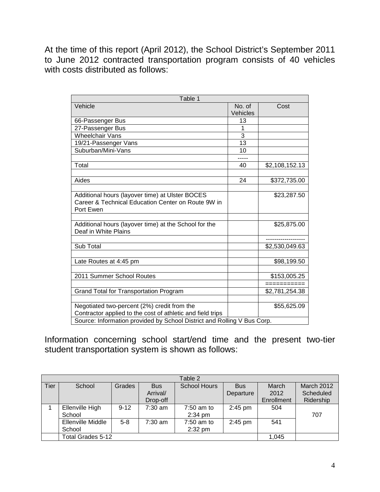At the time of this report (April 2012), the School District's September 2011 to June 2012 contracted transportation program consists of 40 vehicles with costs distributed as follows:

| Table 1                                                                 |          |                |
|-------------------------------------------------------------------------|----------|----------------|
| Vehicle                                                                 | No. of   | Cost           |
|                                                                         | Vehicles |                |
| 66-Passenger Bus                                                        | 13       |                |
| 27-Passenger Bus                                                        | 1        |                |
| <b>Wheelchair Vans</b>                                                  | 3        |                |
| 19/21-Passenger Vans                                                    | 13       |                |
| Suburban/Mini-Vans                                                      | 10       |                |
|                                                                         |          |                |
| Total                                                                   | 40       | \$2,108,152.13 |
|                                                                         |          |                |
| Aides                                                                   | 24       | \$372,735.00   |
|                                                                         |          |                |
| Additional hours (layover time) at Ulster BOCES                         |          | \$23,287.50    |
| Career & Technical Education Center on Route 9W in                      |          |                |
| Port Ewen                                                               |          |                |
|                                                                         |          |                |
| Additional hours (layover time) at the School for the                   |          | \$25,875.00    |
| Deaf in White Plains                                                    |          |                |
|                                                                         |          |                |
| Sub Total                                                               |          | \$2,530,049.63 |
|                                                                         |          |                |
| Late Routes at 4:45 pm                                                  |          | \$98,199.50    |
|                                                                         |          |                |
| 2011 Summer School Routes                                               |          | \$153,005.25   |
|                                                                         |          | ===========    |
| Grand Total for Transportation Program                                  |          | \$2,781,254.38 |
|                                                                         |          |                |
| Negotiated two-percent (2%) credit from the                             |          | \$55,625.09    |
| Contractor applied to the cost of athletic and field trips              |          |                |
| Source: Information provided by School District and Rolling V Bus Corp. |          |                |

Information concerning school start/end time and the present two-tier student transportation system is shown as follows:

|      | Table 2           |          |                                   |              |            |            |            |  |  |  |  |  |  |  |
|------|-------------------|----------|-----------------------------------|--------------|------------|------------|------------|--|--|--|--|--|--|--|
| Tier | School            | Grades   | <b>School Hours</b><br><b>Bus</b> |              | <b>Bus</b> | March      | March 2012 |  |  |  |  |  |  |  |
|      |                   |          | Arrival/                          |              | Departure  | 2012       | Scheduled  |  |  |  |  |  |  |  |
|      |                   |          | Drop-off                          |              |            | Enrollment | Ridership  |  |  |  |  |  |  |  |
|      | Ellenville High   | $9 - 12$ | $7:30$ am                         | $7:50$ am to | $2:45$ pm  | 504        |            |  |  |  |  |  |  |  |
|      | School            |          |                                   | $2:34$ pm    |            |            | 707        |  |  |  |  |  |  |  |
|      | Ellenville Middle | $5 - 8$  | $7:30$ am                         | $7:50$ am to | $2:45$ pm  | 541        |            |  |  |  |  |  |  |  |
|      | School            |          |                                   | $2:32$ pm    |            |            |            |  |  |  |  |  |  |  |
|      | Total Grades 5-12 | 1.045    |                                   |              |            |            |            |  |  |  |  |  |  |  |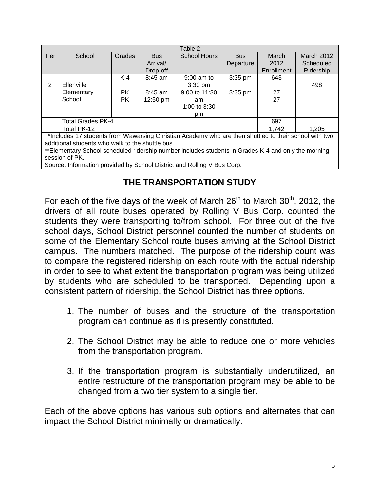|             | Table 2                                                                                               |               |           |                     |            |            |            |  |  |  |  |  |
|-------------|-------------------------------------------------------------------------------------------------------|---------------|-----------|---------------------|------------|------------|------------|--|--|--|--|--|
| <b>Tier</b> | School                                                                                                | <b>Grades</b> | Bus.      | <b>School Hours</b> | <b>Bus</b> | March      | March 2012 |  |  |  |  |  |
|             |                                                                                                       |               | Arrival/  |                     | Departure  | 2012       | Scheduled  |  |  |  |  |  |
|             |                                                                                                       |               | Drop-off  |                     |            | Enrollment | Ridership  |  |  |  |  |  |
|             |                                                                                                       | $K-4$         | $8:45$ am | $9:00$ am to        | $3:35$ pm  | 643        |            |  |  |  |  |  |
| 2           | Ellenville                                                                                            |               |           | $3:30$ pm           |            |            | 498        |  |  |  |  |  |
|             | Elementary                                                                                            | PK.           | $8:45$ am | 9:00 to 11:30       | $3:35$ pm  | 27         |            |  |  |  |  |  |
|             | School                                                                                                | <b>PK</b>     | 12:50 pm  | am                  |            | 27         |            |  |  |  |  |  |
|             |                                                                                                       |               |           | 1:00 to 3:30        |            |            |            |  |  |  |  |  |
|             |                                                                                                       |               |           | pm                  |            |            |            |  |  |  |  |  |
|             | <b>Total Grades PK-4</b>                                                                              |               |           |                     |            | 697        |            |  |  |  |  |  |
|             | Total PK-12                                                                                           |               |           |                     |            | 1.742      | 1,205      |  |  |  |  |  |
|             | *Includes 17 students from Wawarsing Christian Academy who are then shuttled to their school with two |               |           |                     |            |            |            |  |  |  |  |  |
|             | additional students who walk to the shuttle bus.                                                      |               |           |                     |            |            |            |  |  |  |  |  |
|             | **Elementary School scheduled ridership number includes students in Grades K-4 and only the morning   |               |           |                     |            |            |            |  |  |  |  |  |
|             | session of PK.                                                                                        |               |           |                     |            |            |            |  |  |  |  |  |
|             | Source: Information provided by School District and Rolling V Bus Corp.                               |               |           |                     |            |            |            |  |  |  |  |  |

## **THE TRANSPORTATION STUDY**

For each of the five days of the week of March  $26<sup>th</sup>$  to March  $30<sup>th</sup>$ , 2012, the drivers of all route buses operated by Rolling V Bus Corp. counted the students they were transporting to/from school. For three out of the five school days, School District personnel counted the number of students on some of the Elementary School route buses arriving at the School District campus. The numbers matched. The purpose of the ridership count was to compare the registered ridership on each route with the actual ridership in order to see to what extent the transportation program was being utilized by students who are scheduled to be transported. Depending upon a consistent pattern of ridership, the School District has three options.

- 1. The number of buses and the structure of the transportation program can continue as it is presently constituted.
- 2. The School District may be able to reduce one or more vehicles from the transportation program.
- 3. If the transportation program is substantially underutilized, an entire restructure of the transportation program may be able to be changed from a two tier system to a single tier.

Each of the above options has various sub options and alternates that can impact the School District minimally or dramatically.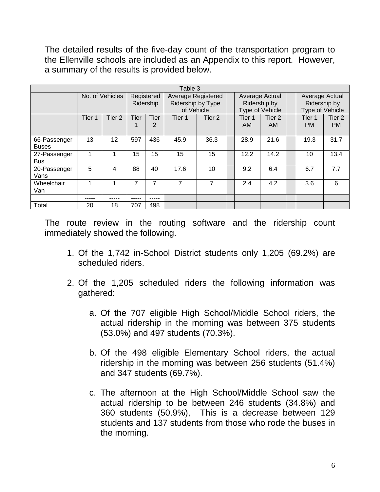The detailed results of the five-day count of the transportation program to the Ellenville schools are included as an Appendix to this report. However, a summary of the results is provided below.

|                              | Table 3 |                 |      |           |                                                                                         |        |  |                     |                                                   |  |                                                   |                     |  |
|------------------------------|---------|-----------------|------|-----------|-----------------------------------------------------------------------------------------|--------|--|---------------------|---------------------------------------------------|--|---------------------------------------------------|---------------------|--|
|                              |         | No. of Vehicles |      |           | Registered<br><b>Average Registered</b><br>Ridership by Type<br>Ridership<br>of Vehicle |        |  |                     | Average Actual<br>Ridership by<br>Type of Vehicle |  | Average Actual<br>Ridership by<br>Type of Vehicle |                     |  |
|                              | Tier 1  | Tier 2          | Tier | Tier<br>2 | Tier 1                                                                                  | Tier 2 |  | Tier 1<br><b>AM</b> | Tier 2<br><b>AM</b>                               |  | Tier 1<br><b>PM</b>                               | Tier 2<br><b>PM</b> |  |
| 66-Passenger<br><b>Buses</b> | 13      | 12              | 597  | 436       | 45.9                                                                                    | 36.3   |  | 28.9                | 21.6                                              |  | 19.3                                              | 31.7                |  |
| 27-Passenger<br><b>Bus</b>   |         |                 | 15   | 15        | 15                                                                                      | 15     |  | 12.2                | 14.2                                              |  | 10                                                | 13.4                |  |
| 20-Passenger<br>Vans         | 5       | 4               | 88   | 40        | 17.6                                                                                    | 10     |  | 9.2                 | 6.4                                               |  | 6.7                                               | 7.7                 |  |
| Wheelchair<br>Van            | 1       |                 | 7    | 7         | 7                                                                                       | 7      |  | 2.4                 | 4.2                                               |  | 3.6                                               | 6                   |  |
|                              |         |                 |      | -----     |                                                                                         |        |  |                     |                                                   |  |                                                   |                     |  |
| Total                        | 20      | 18              | 707  | 498       |                                                                                         |        |  |                     |                                                   |  |                                                   |                     |  |

The route review in the routing software and the ridership count immediately showed the following.

- 1. Of the 1,742 in-School District students only 1,205 (69.2%) are scheduled riders.
- 2. Of the 1,205 scheduled riders the following information was gathered:
	- a. Of the 707 eligible High School/Middle School riders, the actual ridership in the morning was between 375 students (53.0%) and 497 students (70.3%).
	- b. Of the 498 eligible Elementary School riders, the actual ridership in the morning was between 256 students (51.4%) and 347 students (69.7%).
	- c. The afternoon at the High School/Middle School saw the actual ridership to be between 246 students (34.8%) and 360 students (50.9%), This is a decrease between 129 students and 137 students from those who rode the buses in the morning.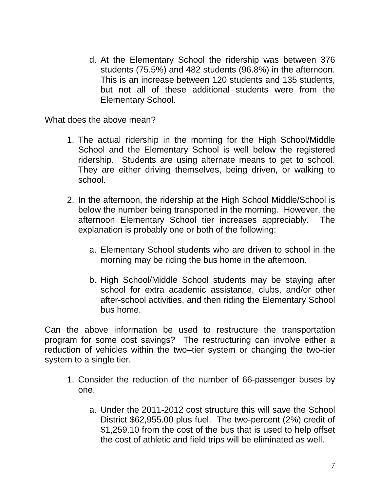d. At the Elementary School the ridership was between 376 students (75.5%) and 482 students (96.8%) in the afternoon. This is an increase between 120 students and 135 students, but not all of these additional students were from the Elementary School.

What does the above mean?

- 1. The actual ridership in the morning for the High School/Middle School and the Elementary School is well below the registered ridership. Students are using alternate means to get to school. They are either driving themselves, being driven, or walking to school.
- 2. In the afternoon, the ridership at the High School Middle/School is below the number being transported in the morning. However, the afternoon Elementary School tier increases appreciably. The explanation is probably one or both of the following:
	- a. Elementary School students who are driven to school in the morning may be riding the bus home in the afternoon.
	- b. High School/Middle School students may be staying after school for extra academic assistance, clubs, and/or other after-school activities, and then riding the Elementary School bus home.

Can the above information be used to restructure the transportation program for some cost savings? The restructuring can involve either a reduction of vehicles within the two–tier system or changing the two-tier system to a single tier.

- 1. Consider the reduction of the number of 66-passenger buses by one.
	- a. Under the 2011-2012 cost structure this will save the School District \$62,955.00 plus fuel. The two-percent (2%) credit of \$1,259.10 from the cost of the bus that is used to help offset the cost of athletic and field trips will be eliminated as well.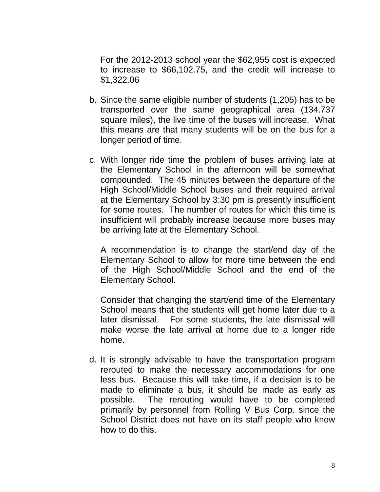For the 2012-2013 school year the \$62,955 cost is expected to increase to \$66,102.75, and the credit will increase to \$1,322.06

- b. Since the same eligible number of students (1,205) has to be transported over the same geographical area (134.737 square miles), the live time of the buses will increase. What this means are that many students will be on the bus for a longer period of time.
- c. With longer ride time the problem of buses arriving late at the Elementary School in the afternoon will be somewhat compounded. The 45 minutes between the departure of the High School/Middle School buses and their required arrival at the Elementary School by 3:30 pm is presently insufficient for some routes. The number of routes for which this time is insufficient will probably increase because more buses may be arriving late at the Elementary School.

A recommendation is to change the start/end day of the Elementary School to allow for more time between the end of the High School/Middle School and the end of the Elementary School.

Consider that changing the start/end time of the Elementary School means that the students will get home later due to a later dismissal. For some students, the late dismissal will make worse the late arrival at home due to a longer ride home.

d. It is strongly advisable to have the transportation program rerouted to make the necessary accommodations for one less bus. Because this will take time, if a decision is to be made to eliminate a bus, it should be made as early as possible. The rerouting would have to be completed primarily by personnel from Rolling V Bus Corp. since the School District does not have on its staff people who know how to do this.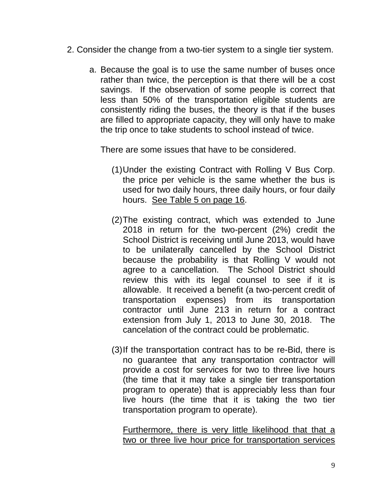- 2. Consider the change from a two-tier system to a single tier system.
	- a. Because the goal is to use the same number of buses once rather than twice, the perception is that there will be a cost savings. If the observation of some people is correct that less than 50% of the transportation eligible students are consistently riding the buses, the theory is that if the buses are filled to appropriate capacity, they will only have to make the trip once to take students to school instead of twice.

There are some issues that have to be considered.

- (1)Under the existing Contract with Rolling V Bus Corp. the price per vehicle is the same whether the bus is used for two daily hours, three daily hours, or four daily hours. See Table 5 on page 16.
- (2)The existing contract, which was extended to June 2018 in return for the two-percent (2%) credit the School District is receiving until June 2013, would have to be unilaterally cancelled by the School District because the probability is that Rolling V would not agree to a cancellation. The School District should review this with its legal counsel to see if it is allowable. It received a benefit (a two-percent credit of transportation expenses) from its transportation contractor until June 213 in return for a contract extension from July 1, 2013 to June 30, 2018. The cancelation of the contract could be problematic.
- (3)If the transportation contract has to be re-Bid, there is no guarantee that any transportation contractor will provide a cost for services for two to three live hours (the time that it may take a single tier transportation program to operate) that is appreciably less than four live hours (the time that it is taking the two tier transportation program to operate).

Furthermore, there is very little likelihood that that a two or three live hour price for transportation services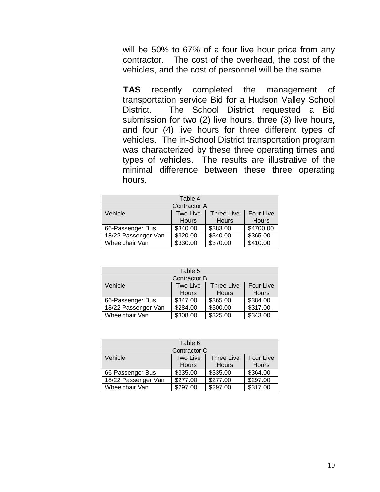will be 50% to 67% of a four live hour price from any contractor. The cost of the overhead, the cost of the vehicles, and the cost of personnel will be the same.

**TAS** recently completed the management of transportation service Bid for a Hudson Valley School District. The School District requested a Bid submission for two (2) live hours, three (3) live hours, and four (4) live hours for three different types of vehicles. The in-School District transportation program was characterized by these three operating times and types of vehicles. The results are illustrative of the minimal difference between these three operating hours.

| Table 4             |              |                   |              |  |  |  |  |  |  |  |
|---------------------|--------------|-------------------|--------------|--|--|--|--|--|--|--|
| <b>Contractor A</b> |              |                   |              |  |  |  |  |  |  |  |
| Vehicle             | Two Live     | <b>Three Live</b> | Four Live    |  |  |  |  |  |  |  |
|                     | <b>Hours</b> | <b>Hours</b>      | <b>Hours</b> |  |  |  |  |  |  |  |
| 66-Passenger Bus    | \$340.00     | \$383.00          | \$4700.00    |  |  |  |  |  |  |  |
| 18/22 Passenger Van | \$320.00     | \$340.00          | \$365.00     |  |  |  |  |  |  |  |
| Wheelchair Van      | \$330.00     | \$370.00          | \$410.00     |  |  |  |  |  |  |  |

| Table 5             |              |                   |              |  |  |  |  |  |  |  |  |
|---------------------|--------------|-------------------|--------------|--|--|--|--|--|--|--|--|
| <b>Contractor B</b> |              |                   |              |  |  |  |  |  |  |  |  |
| Vehicle             | Two Live     | <b>Three Live</b> | Four Live    |  |  |  |  |  |  |  |  |
|                     | <b>Hours</b> | <b>Hours</b>      | <b>Hours</b> |  |  |  |  |  |  |  |  |
| 66-Passenger Bus    | \$347.00     | \$365.00          | \$384.00     |  |  |  |  |  |  |  |  |
| 18/22 Passenger Van | \$284.00     | \$300.00          | \$317.00     |  |  |  |  |  |  |  |  |
| Wheelchair Van      | \$308.00     | \$325.00          | \$343.00     |  |  |  |  |  |  |  |  |

| Table 6             |              |                   |              |  |  |  |  |  |  |  |  |
|---------------------|--------------|-------------------|--------------|--|--|--|--|--|--|--|--|
| Contractor C        |              |                   |              |  |  |  |  |  |  |  |  |
| Vehicle             | Two Live     | <b>Three Live</b> | Four Live    |  |  |  |  |  |  |  |  |
|                     | <b>Hours</b> | <b>Hours</b>      | <b>Hours</b> |  |  |  |  |  |  |  |  |
| 66-Passenger Bus    | \$335.00     | \$335.00          | \$364.00     |  |  |  |  |  |  |  |  |
| 18/22 Passenger Van | \$277.00     | \$277.00          | \$297.00     |  |  |  |  |  |  |  |  |
| Wheelchair Van      | \$297.00     | \$297.00          | \$317.00     |  |  |  |  |  |  |  |  |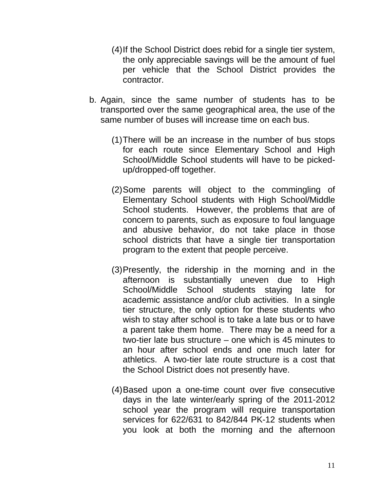- (4)If the School District does rebid for a single tier system, the only appreciable savings will be the amount of fuel per vehicle that the School District provides the contractor.
- b. Again, since the same number of students has to be transported over the same geographical area, the use of the same number of buses will increase time on each bus.
	- (1)There will be an increase in the number of bus stops for each route since Elementary School and High School/Middle School students will have to be pickedup/dropped-off together.
	- (2)Some parents will object to the commingling of Elementary School students with High School/Middle School students. However, the problems that are of concern to parents, such as exposure to foul language and abusive behavior, do not take place in those school districts that have a single tier transportation program to the extent that people perceive.
	- (3)Presently, the ridership in the morning and in the afternoon is substantially uneven due to High School/Middle School students staying late for academic assistance and/or club activities. In a single tier structure, the only option for these students who wish to stay after school is to take a late bus or to have a parent take them home. There may be a need for a two-tier late bus structure – one which is 45 minutes to an hour after school ends and one much later for athletics. A two-tier late route structure is a cost that the School District does not presently have.
	- (4)Based upon a one-time count over five consecutive days in the late winter/early spring of the 2011-2012 school year the program will require transportation services for 622/631 to 842/844 PK-12 students when you look at both the morning and the afternoon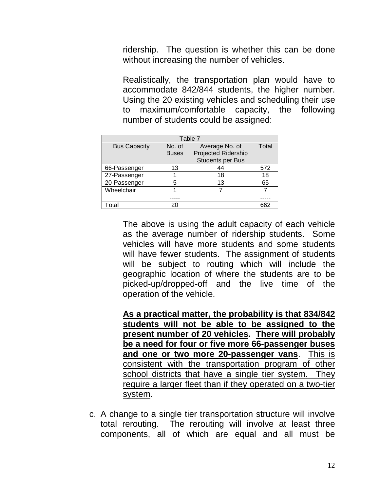ridership. The question is whether this can be done without increasing the number of vehicles.

Realistically, the transportation plan would have to accommodate 842/844 students, the higher number. Using the 20 existing vehicles and scheduling their use to maximum/comfortable capacity, the following number of students could be assigned:

| Table 7             |              |                            |       |  |  |  |  |  |  |  |  |
|---------------------|--------------|----------------------------|-------|--|--|--|--|--|--|--|--|
| <b>Bus Capacity</b> | No. of       | Average No. of             | Total |  |  |  |  |  |  |  |  |
|                     | <b>Buses</b> | <b>Projected Ridership</b> |       |  |  |  |  |  |  |  |  |
|                     |              | <b>Students per Bus</b>    |       |  |  |  |  |  |  |  |  |
| 66-Passenger        | 13           | 44                         | 572   |  |  |  |  |  |  |  |  |
| 27-Passenger        |              | 18                         | 18    |  |  |  |  |  |  |  |  |
| 20-Passenger        | 5            | 13                         | 65    |  |  |  |  |  |  |  |  |
| Wheelchair          |              |                            |       |  |  |  |  |  |  |  |  |
|                     |              |                            |       |  |  |  |  |  |  |  |  |
| Total               | 20           |                            | 662   |  |  |  |  |  |  |  |  |

The above is using the adult capacity of each vehicle as the average number of ridership students. Some vehicles will have more students and some students will have fewer students. The assignment of students will be subject to routing which will include the geographic location of where the students are to be picked-up/dropped-off and the live time of the operation of the vehicle.

**As a practical matter, the probability is that 834/842 students will not be able to be assigned to the present number of 20 vehicles. There will probably be a need for four or five more 66-passenger buses and one or two more 20-passenger vans**. This is consistent with the transportation program of other school districts that have a single tier system. They require a larger fleet than if they operated on a two-tier system.

c. A change to a single tier transportation structure will involve total rerouting. The rerouting will involve at least three components, all of which are equal and all must be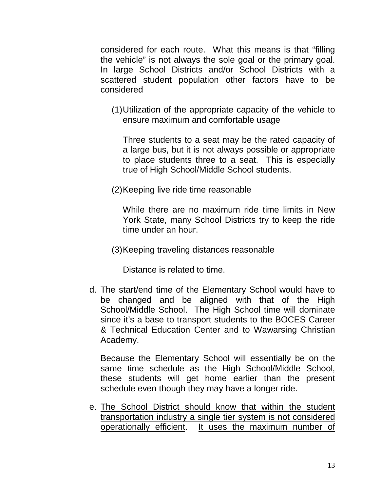considered for each route. What this means is that "filling the vehicle" is not always the sole goal or the primary goal. In large School Districts and/or School Districts with a scattered student population other factors have to be considered

(1)Utilization of the appropriate capacity of the vehicle to ensure maximum and comfortable usage

Three students to a seat may be the rated capacity of a large bus, but it is not always possible or appropriate to place students three to a seat. This is especially true of High School/Middle School students.

(2)Keeping live ride time reasonable

While there are no maximum ride time limits in New York State, many School Districts try to keep the ride time under an hour.

(3)Keeping traveling distances reasonable

Distance is related to time.

d. The start/end time of the Elementary School would have to be changed and be aligned with that of the High School/Middle School. The High School time will dominate since it's a base to transport students to the BOCES Career & Technical Education Center and to Wawarsing Christian Academy.

Because the Elementary School will essentially be on the same time schedule as the High School/Middle School, these students will get home earlier than the present schedule even though they may have a longer ride.

e. The School District should know that within the student transportation industry a single tier system is not considered operationally efficient. It uses the maximum number of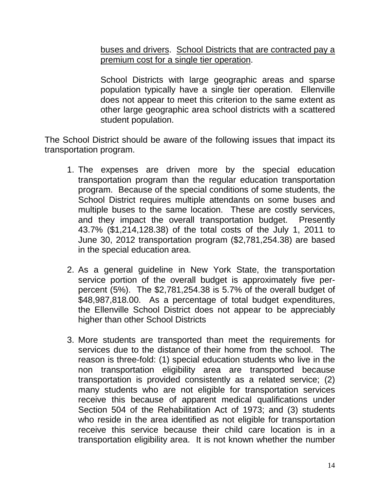buses and drivers. School Districts that are contracted pay a premium cost for a single tier operation.

School Districts with large geographic areas and sparse population typically have a single tier operation. Ellenville does not appear to meet this criterion to the same extent as other large geographic area school districts with a scattered student population.

The School District should be aware of the following issues that impact its transportation program.

- 1. The expenses are driven more by the special education transportation program than the regular education transportation program. Because of the special conditions of some students, the School District requires multiple attendants on some buses and multiple buses to the same location. These are costly services, and they impact the overall transportation budget. Presently 43.7% (\$1,214,128.38) of the total costs of the July 1, 2011 to June 30, 2012 transportation program (\$2,781,254.38) are based in the special education area.
- 2. As a general guideline in New York State, the transportation service portion of the overall budget is approximately five perpercent (5%). The \$2,781,254.38 is 5.7% of the overall budget of \$48,987,818.00. As a percentage of total budget expenditures, the Ellenville School District does not appear to be appreciably higher than other School Districts
- 3. More students are transported than meet the requirements for services due to the distance of their home from the school. The reason is three-fold: (1) special education students who live in the non transportation eligibility area are transported because transportation is provided consistently as a related service; (2) many students who are not eligible for transportation services receive this because of apparent medical qualifications under Section 504 of the Rehabilitation Act of 1973; and (3) students who reside in the area identified as not eligible for transportation receive this service because their child care location is in a transportation eligibility area. It is not known whether the number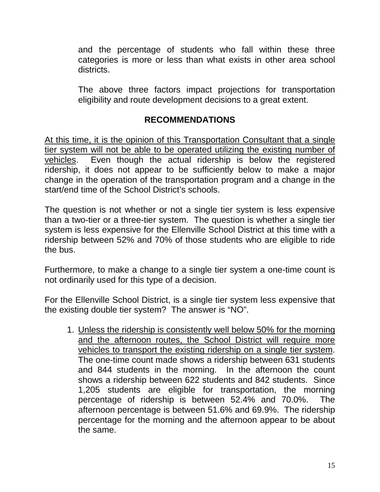and the percentage of students who fall within these three categories is more or less than what exists in other area school districts.

The above three factors impact projections for transportation eligibility and route development decisions to a great extent.

#### **RECOMMENDATIONS**

At this time, it is the opinion of this Transportation Consultant that a single tier system will not be able to be operated utilizing the existing number of vehicles. Even though the actual ridership is below the registered ridership, it does not appear to be sufficiently below to make a major change in the operation of the transportation program and a change in the start/end time of the School District's schools.

The question is not whether or not a single tier system is less expensive than a two-tier or a three-tier system. The question is whether a single tier system is less expensive for the Ellenville School District at this time with a ridership between 52% and 70% of those students who are eligible to ride the bus.

Furthermore, to make a change to a single tier system a one-time count is not ordinarily used for this type of a decision.

For the Ellenville School District, is a single tier system less expensive that the existing double tier system? The answer is "NO".

1. Unless the ridership is consistently well below 50% for the morning and the afternoon routes, the School District will require more vehicles to transport the existing ridership on a single tier system. The one-time count made shows a ridership between 631 students and 844 students in the morning. In the afternoon the count shows a ridership between 622 students and 842 students. Since 1,205 students are eligible for transportation, the morning percentage of ridership is between 52.4% and 70.0%. The afternoon percentage is between 51.6% and 69.9%. The ridership percentage for the morning and the afternoon appear to be about the same.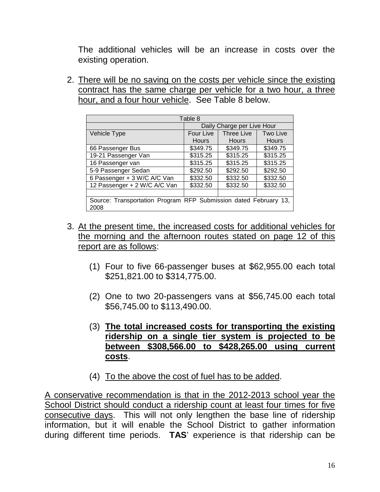The additional vehicles will be an increase in costs over the existing operation.

2. There will be no saving on the costs per vehicle since the existing contract has the same charge per vehicle for a two hour, a three hour, and a four hour vehicle. See Table 8 below.

| Table 8                                                      |                            |                   |              |  |  |  |  |  |  |  |
|--------------------------------------------------------------|----------------------------|-------------------|--------------|--|--|--|--|--|--|--|
|                                                              | Daily Charge per Live Hour |                   |              |  |  |  |  |  |  |  |
| Vehicle Type                                                 | Four Live                  | <b>Three Live</b> | Two Live     |  |  |  |  |  |  |  |
|                                                              | Hours                      | <b>Hours</b>      | <b>Hours</b> |  |  |  |  |  |  |  |
| 66 Passenger Bus                                             | \$349.75                   | \$349.75          | \$349.75     |  |  |  |  |  |  |  |
| 19-21 Passenger Van                                          | \$315.25                   | \$315.25          | \$315.25     |  |  |  |  |  |  |  |
| 16 Passenger van                                             | \$315.25                   | \$315.25          | \$315.25     |  |  |  |  |  |  |  |
| 5-9 Passenger Sedan                                          | \$292.50                   | \$292.50          | \$292.50     |  |  |  |  |  |  |  |
| 6 Passenger + 3 W/C A/C Van                                  | \$332.50                   | \$332.50          | \$332.50     |  |  |  |  |  |  |  |
| 12 Passenger + 2 W/C A/C Van                                 | \$332.50                   | \$332.50          | \$332.50     |  |  |  |  |  |  |  |
|                                                              |                            |                   |              |  |  |  |  |  |  |  |
| Source: Transportation Program RFP Submission dated February |                            |                   | 13.          |  |  |  |  |  |  |  |
| 2008                                                         |                            |                   |              |  |  |  |  |  |  |  |

- 3. At the present time, the increased costs for additional vehicles for the morning and the afternoon routes stated on page 12 of this report are as follows:
	- (1) Four to five 66-passenger buses at \$62,955.00 each total \$251,821.00 to \$314,775.00.
	- (2) One to two 20-passengers vans at \$56,745.00 each total \$56,745.00 to \$113,490.00.
	- (3) **The total increased costs for transporting the existing ridership on a single tier system is projected to be between \$308,566.00 to \$428,265.00 using current costs**.
	- (4) To the above the cost of fuel has to be added.

A conservative recommendation is that in the 2012-2013 school year the School District should conduct a ridership count at least four times for five consecutive days. This will not only lengthen the base line of ridership information, but it will enable the School District to gather information during different time periods. **TAS**' experience is that ridership can be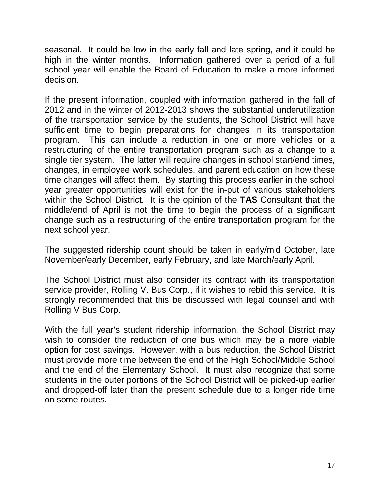seasonal. It could be low in the early fall and late spring, and it could be high in the winter months. Information gathered over a period of a full school year will enable the Board of Education to make a more informed decision.

If the present information, coupled with information gathered in the fall of 2012 and in the winter of 2012-2013 shows the substantial underutilization of the transportation service by the students, the School District will have sufficient time to begin preparations for changes in its transportation program. This can include a reduction in one or more vehicles or a restructuring of the entire transportation program such as a change to a single tier system. The latter will require changes in school start/end times, changes, in employee work schedules, and parent education on how these time changes will affect them. By starting this process earlier in the school year greater opportunities will exist for the in-put of various stakeholders within the School District. It is the opinion of the **TAS** Consultant that the middle/end of April is not the time to begin the process of a significant change such as a restructuring of the entire transportation program for the next school year.

The suggested ridership count should be taken in early/mid October, late November/early December, early February, and late March/early April.

The School District must also consider its contract with its transportation service provider, Rolling V. Bus Corp., if it wishes to rebid this service. It is strongly recommended that this be discussed with legal counsel and with Rolling V Bus Corp.

With the full year's student ridership information, the School District may wish to consider the reduction of one bus which may be a more viable option for cost savings. However, with a bus reduction, the School District must provide more time between the end of the High School/Middle School and the end of the Elementary School. It must also recognize that some students in the outer portions of the School District will be picked-up earlier and dropped-off later than the present schedule due to a longer ride time on some routes.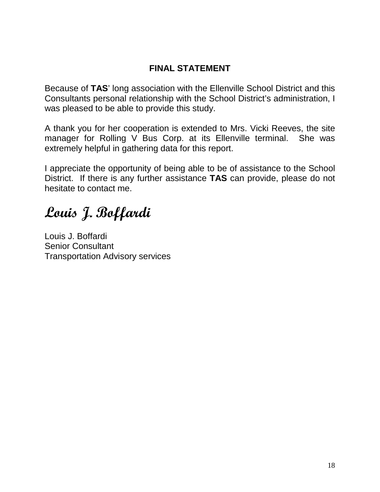### **FINAL STATEMENT**

Because of **TAS**' long association with the Ellenville School District and this Consultants personal relationship with the School District's administration, I was pleased to be able to provide this study.

A thank you for her cooperation is extended to Mrs. Vicki Reeves, the site manager for Rolling V Bus Corp. at its Ellenville terminal. She was extremely helpful in gathering data for this report.

I appreciate the opportunity of being able to be of assistance to the School District. If there is any further assistance **TAS** can provide, please do not hesitate to contact me.

**Louis J. Boffardi**

Louis J. Boffardi Senior Consultant Transportation Advisory services